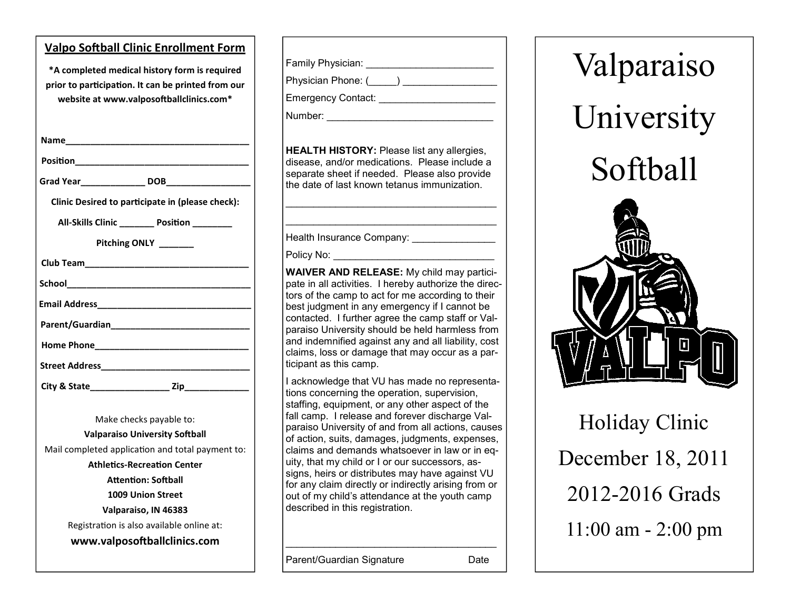| <b>Valpo Softball Clinic Enrollment Form</b>                                                                                                                                                                         |
|----------------------------------------------------------------------------------------------------------------------------------------------------------------------------------------------------------------------|
| *A completed medical history form is required<br>prior to participation. It can be printed from our<br>website at www.valposoftballclinics.com*                                                                      |
|                                                                                                                                                                                                                      |
| Position_________________________                                                                                                                                                                                    |
|                                                                                                                                                                                                                      |
| Clinic Desired to participate in (please check):                                                                                                                                                                     |
| All-Skills Clinic ________ Position ________                                                                                                                                                                         |
| Pitching ONLY ______                                                                                                                                                                                                 |
| Club Team_____________________                                                                                                                                                                                       |
| School________________________                                                                                                                                                                                       |
|                                                                                                                                                                                                                      |
| Parent/Guardian <b>Exercise Service Service Service Service</b>                                                                                                                                                      |
|                                                                                                                                                                                                                      |
| Street Address_______________                                                                                                                                                                                        |
|                                                                                                                                                                                                                      |
| Make checks payable to:<br><b>Valparaiso University Softball</b><br>Mail completed application and total payment to:<br><b>Athletics-Recreation Center</b><br><b>Attention: Softball</b><br><b>1009 Union Street</b> |

| Family Physician: _______                                                                                       |
|-----------------------------------------------------------------------------------------------------------------|
| Physician Phone: (_____) ________________                                                                       |
| Emergency Contact: _________                                                                                    |
| Number: and the contract of the contract of the contract of the contract of the contract of the contract of the |
|                                                                                                                 |

**HEALTH HISTORY:** Please list any allergies, disease, and/or medications. Please include a separate sheet if needed. Please also provide the date of last known tetanus immunization.

\_\_\_\_\_\_\_\_\_\_\_\_\_\_\_\_\_\_\_\_\_\_\_\_\_\_\_\_\_\_\_\_\_\_\_\_\_\_ \_\_\_\_\_\_\_\_\_\_\_\_\_\_\_\_\_\_\_\_\_\_\_\_\_\_\_\_\_\_\_\_\_\_\_\_\_\_

Health Insurance Company:

Policy No:

**WAIVER AND RELEASE:** My child may participate in all activities. I hereby authorize the directors of the camp to act for me according to their best judgment in any emergency if I cannot be contacted. I further agree the camp staff or Valparaiso University should be held harmless from and indemnified against any and all liability, cost claims, loss or damage that may occur as a participant as this camp.

I acknowledge that VU has made no representations concerning the operation, supervision, staffing, equipment, or any other aspect of the fall camp. I release and forever discharge Valparaiso University of and from all actions, causes of action, suits, damages, judgments, expenses, claims and demands whatsoever in law or in equity, that my child or I or our successors, assigns, heirs or distributes may have against VU for any claim directly or indirectly arising from or out of my child's attendance at the youth camp described in this registration.

\_\_\_\_\_\_\_\_\_\_\_\_\_\_\_\_\_\_\_\_\_\_\_\_\_\_\_\_\_\_\_\_\_\_\_\_\_\_



December 18, 2011 2012-2016 Grads 11:00 am - 2:00 pm